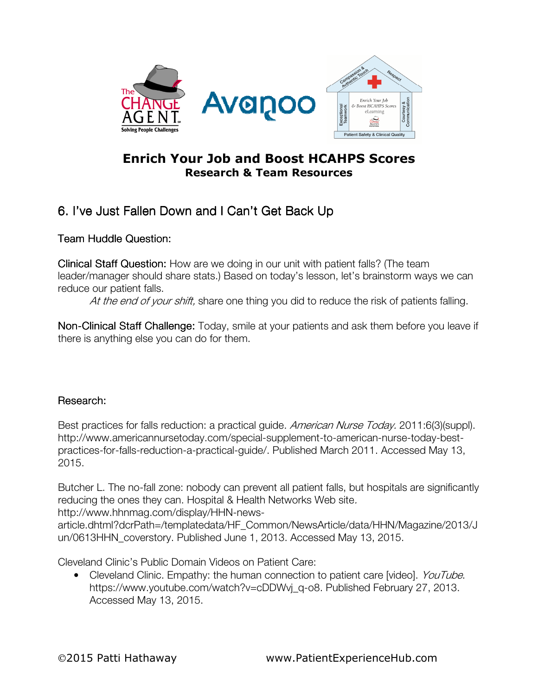

## Enrich Your Job and Boost HCAHPS Scores Research & Team Resources

## 6. I've Just Fallen Down and I Can't Get Back Up

Team Huddle Question:

**Clinical Staff Question:** How are we doing in our unit with patient falls? (The team leader/manager should share stats.) Based on today's lesson, let's brainstorm ways we can reduce our patient falls.

At the end of your shift, share one thing you did to reduce the risk of patients falling.

Non-Clinical Staff Challenge: Today, smile at your patients and ask them before you leave if there is anything else you can do for them.

## Research:

Best practices for falls reduction: a practical guide. American Nurse Today. 2011:6(3)(suppl). http://www.americannursetoday.com/special-supplement-to-american-nurse-today-bestpractices-for-falls-reduction-a-practical-guide/. Published March 2011. Accessed May 13, 2015.

Butcher L. The no-fall zone: nobody can prevent all patient falls, but hospitals are significantly reducing the ones they can. Hospital & Health Networks Web site.

http://www.hhnmag.com/display/HHN-news-

article.dhtml?dcrPath=/templatedata/HF\_Common/NewsArticle/data/HHN/Magazine/2013/J un/0613HHN\_coverstory. Published June 1, 2013. Accessed May 13, 2015.

Cleveland Clinic's Public Domain Videos on Patient Care:

• Cleveland Clinic. Empathy: the human connection to patient care [video]. YouTube. https://www.youtube.com/watch?v=cDDWyj\_q-o8. Published February 27, 2013. Accessed May 13, 2015.